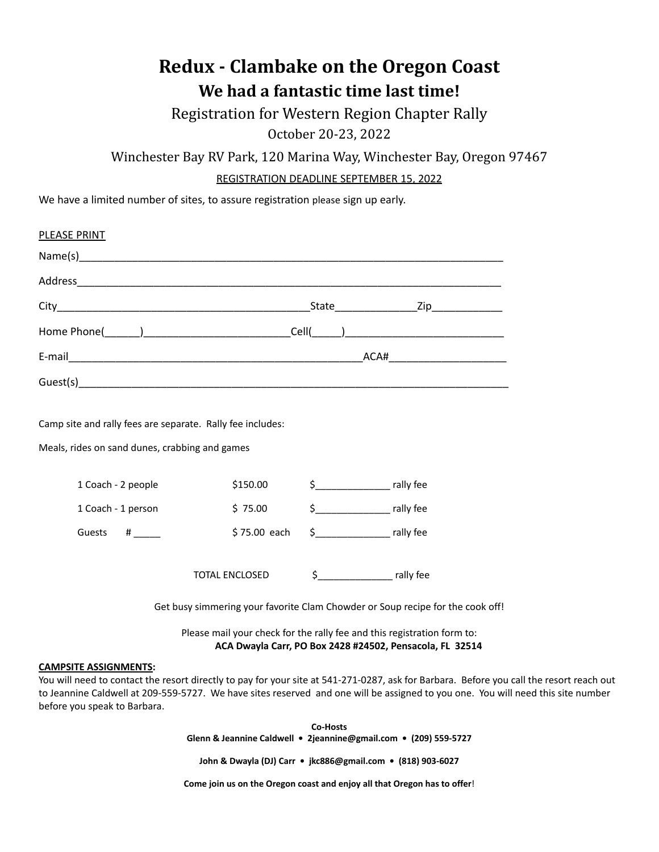## **Redux - Clambake on the Oregon Coast We had a fantastic time last time!**

Registration for Western Region Chapter Rally October 20-23, 2022

Winchester Bay RV Park, 120 Marina Way, Winchester Bay, Oregon 97467

REGISTRATION DEADLINE SEPTEMBER 15, 2022

We have a limited number of sites, to assure registration please sign up early.

| PLEASE PRINT                                                                                                                        |                       |  |              |
|-------------------------------------------------------------------------------------------------------------------------------------|-----------------------|--|--------------|
|                                                                                                                                     |                       |  |              |
|                                                                                                                                     |                       |  |              |
|                                                                                                                                     |                       |  |              |
|                                                                                                                                     |                       |  |              |
|                                                                                                                                     |                       |  |              |
|                                                                                                                                     |                       |  |              |
| Camp site and rally fees are separate. Rally fee includes:<br>Meals, rides on sand dunes, crabbing and games                        |                       |  |              |
| 1 Coach - 2 people                                                                                                                  | \$150.00              |  | \$ rally fee |
| 1 Coach - 1 person                                                                                                                  | \$75.00               |  |              |
| Guests #                                                                                                                            | $$75.00$ each         |  | \$ rally fee |
|                                                                                                                                     | <b>TOTAL ENCLOSED</b> |  |              |
| Get busy simmering your favorite Clam Chowder or Soup recipe for the cook off!                                                      |                       |  |              |
| Please mail your check for the rally fee and this registration form to:<br>ACA Dwayla Carr, PO Box 2428 #24502, Pensacola, FL 32514 |                       |  |              |
| <b>CAMPSITE ASSIGNMENTS:</b>                                                                                                        |                       |  |              |

You will need to contact the resort directly to pay for your site at 541-271-0287, ask for Barbara. Before you call the resort reach out to Jeannine Caldwell at 209-559-5727. We have sites reserved and one will be assigned to you one. You will need this site number before you speak to Barbara.

> **Co-Hosts Glenn & Jeannine Caldwell • 2jeannine@gmail.com • (209) 559-5727**

**John & Dwayla (DJ) Carr • jkc886@gmail.com • (818) 903-6027**

**Come join us on the Oregon coast and enjoy all that Oregon has to offer**!